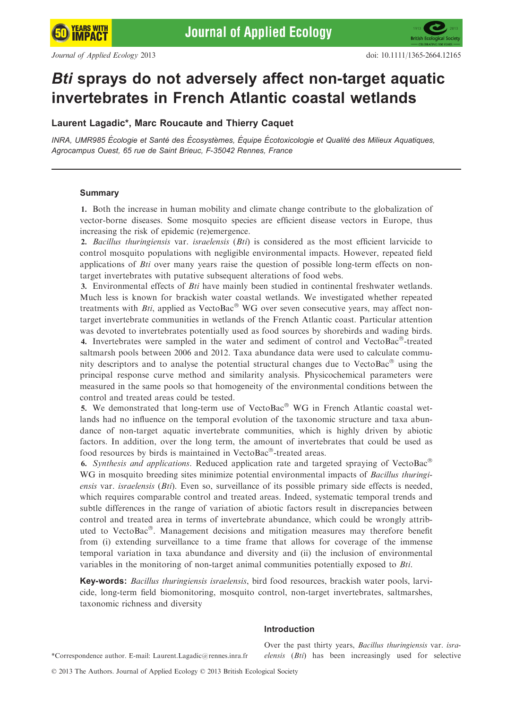# Bti sprays do not adversely affect non-target aquatic invertebrates in French Atlantic coastal wetlands

# Laurent Lagadic\*, Marc Roucaute and Thierry Caquet

INRA. UMR985 Écologie et Santé des Écosystèmes, Équipe Écotoxicologie et Qualité des Milieux Aquatiques, Agrocampus Ouest, 65 rue de Saint Brieuc, F-35042 Rennes, France

# Summary

1. Both the increase in human mobility and climate change contribute to the globalization of vector-borne diseases. Some mosquito species are efficient disease vectors in Europe, thus increasing the risk of epidemic (re)emergence.

2. Bacillus thuringiensis var. israelensis  $(Bti)$  is considered as the most efficient larvicide to control mosquito populations with negligible environmental impacts. However, repeated field applications of *Bti* over many years raise the question of possible long-term effects on nontarget invertebrates with putative subsequent alterations of food webs.

3. Environmental effects of Bti have mainly been studied in continental freshwater wetlands. Much less is known for brackish water coastal wetlands. We investigated whether repeated treatments with *Bti*, applied as VectoBac<sup>®</sup> WG over seven consecutive years, may affect nontarget invertebrate communities in wetlands of the French Atlantic coast. Particular attention was devoted to invertebrates potentially used as food sources by shorebirds and wading birds. 4. Invertebrates were sampled in the water and sediment of control and VectoBac $^{\circ}$ -treated saltmarsh pools between 2006 and 2012. Taxa abundance data were used to calculate community descriptors and to analyse the potential structural changes due to VectoBac $\textdegree$  using the principal response curve method and similarity analysis. Physicochemical parameters were measured in the same pools so that homogeneity of the environmental conditions between the control and treated areas could be tested.

5. We demonstrated that long-term use of  $VectorBac^@$  WG in French Atlantic coastal wetlands had no influence on the temporal evolution of the taxonomic structure and taxa abundance of non-target aquatic invertebrate communities, which is highly driven by abiotic factors. In addition, over the long term, the amount of invertebrates that could be used as food resources by birds is maintained in VectoBac®-treated areas.

6. Synthesis and applications. Reduced application rate and targeted spraying of VectoBac<sup>®</sup> WG in mosquito breeding sites minimize potential environmental impacts of *Bacillus thuringi*ensis var. *israelensis (Bti)*. Even so, surveillance of its possible primary side effects is needed, which requires comparable control and treated areas. Indeed, systematic temporal trends and subtle differences in the range of variation of abiotic factors result in discrepancies between control and treated area in terms of invertebrate abundance, which could be wrongly attributed to VectoBac®. Management decisions and mitigation measures may therefore benefit from (i) extending surveillance to a time frame that allows for coverage of the immense temporal variation in taxa abundance and diversity and (ii) the inclusion of environmental variables in the monitoring of non-target animal communities potentially exposed to Bti.

Key-words: Bacillus thuringiensis israelensis, bird food resources, brackish water pools, larvicide, long-term field biomonitoring, mosquito control, non-target invertebrates, saltmarshes, taxonomic richness and diversity

# Introduction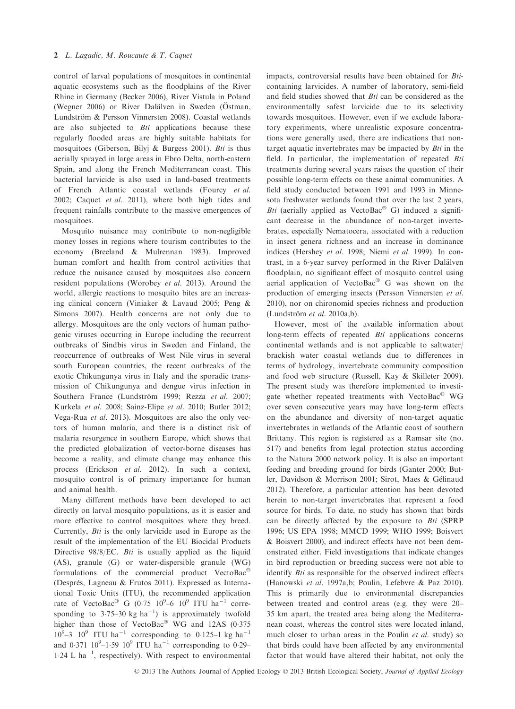control of larval populations of mosquitoes in continental aquatic ecosystems such as the floodplains of the River Rhine in Germany (Becker 2006), River Vistula in Poland (Wegner 2006) or River Dalälven in Sweden (Östman, Lundström & Persson Vinnersten 2008). Coastal wetlands are also subjected to Bti applications because these regularly flooded areas are highly suitable habitats for mosquitoes (Giberson, Bilyj & Burgess 2001). Bti is thus aerially sprayed in large areas in Ebro Delta, north-eastern Spain, and along the French Mediterranean coast. This bacterial larvicide is also used in land-based treatments of French Atlantic coastal wetlands (Fourcy et al. 2002; Caquet et al. 2011), where both high tides and frequent rainfalls contribute to the massive emergences of mosquitoes.

Mosquito nuisance may contribute to non-negligible money losses in regions where tourism contributes to the economy (Breeland & Mulrennan 1983). Improved human comfort and health from control activities that reduce the nuisance caused by mosquitoes also concern resident populations (Worobey et al. 2013). Around the world, allergic reactions to mosquito bites are an increasing clinical concern (Viniaker & Lavaud 2005; Peng & Simons 2007). Health concerns are not only due to allergy. Mosquitoes are the only vectors of human pathogenic viruses occurring in Europe including the recurrent outbreaks of Sindbis virus in Sweden and Finland, the reoccurrence of outbreaks of West Nile virus in several south European countries, the recent outbreaks of the exotic Chikungunya virus in Italy and the sporadic transmission of Chikungunya and dengue virus infection in Southern France (Lundström 1999; Rezza et al. 2007; Kurkela et al. 2008; Sainz-Elipe et al. 2010; Butler 2012; Vega-Rua et al. 2013). Mosquitoes are also the only vectors of human malaria, and there is a distinct risk of malaria resurgence in southern Europe, which shows that the predicted globalization of vector-borne diseases has become a reality, and climate change may enhance this process (Erickson et al. 2012). In such a context, mosquito control is of primary importance for human and animal health.

Many different methods have been developed to act directly on larval mosquito populations, as it is easier and more effective to control mosquitoes where they breed. Currently, Bti is the only larvicide used in Europe as the result of the implementation of the EU Biocidal Products Directive 98/8/EC. Bti is usually applied as the liquid (AS), granule (G) or water-dispersible granule (WG) formulations of the commercial product VectoBac (Després, Lagneau & Frutos 2011). Expressed as International Toxic Units (ITU), the recommended application rate of VectoBac<sup>®</sup> G (0.75 10<sup>9</sup>-6 10<sup>9</sup> ITU ha<sup>-1</sup> corresponding to 3.75–30 kg ha<sup>-1</sup>) is approximately twofold higher than those of VectoBac® WG and 12AS (0.375  $10^9$ –3  $10^9$  ITU ha<sup>-1</sup> corresponding to 0.125–1 kg ha<sup>-1</sup> and 0.371  $10^9 - 1.59$   $10^9$  ITU ha<sup>-1</sup> corresponding to 0.29- $1.24$  L ha<sup>-1</sup>, respectively). With respect to environmental

impacts, controversial results have been obtained for Bticontaining larvicides. A number of laboratory, semi-field and field studies showed that Bti can be considered as the environmentally safest larvicide due to its selectivity towards mosquitoes. However, even if we exclude laboratory experiments, where unrealistic exposure concentrations were generally used, there are indications that nontarget aquatic invertebrates may be impacted by Bti in the field. In particular, the implementation of repeated Bti treatments during several years raises the question of their possible long-term effects on these animal communities. A field study conducted between 1991 and 1993 in Minnesota freshwater wetlands found that over the last 2 years, Bti (aerially applied as VectoBac $^{\circledR}$  G) induced a significant decrease in the abundance of non-target invertebrates, especially Nematocera, associated with a reduction in insect genera richness and an increase in dominance indices (Hershey et al. 1998; Niemi et al. 1999). In contrast, in a 6-year survey performed in the River Dalälven floodplain, no significant effect of mosquito control using aerial application of VectoBac $^{\circledR}$  G was shown on the production of emerging insects (Persson Vinnersten et al. 2010), nor on chironomid species richness and production (Lundström et al. 2010a,b).

However, most of the available information about long-term effects of repeated *Bti* applications concerns continental wetlands and is not applicable to saltwater/ brackish water coastal wetlands due to differences in terms of hydrology, invertebrate community composition and food web structure (Russell, Kay & Skilleter 2009). The present study was therefore implemented to investigate whether repeated treatments with  $VectorBac^{\circledast}$  WG over seven consecutive years may have long-term effects on the abundance and diversity of non-target aquatic invertebrates in wetlands of the Atlantic coast of southern Brittany. This region is registered as a Ramsar site (no. 517) and benefits from legal protection status according to the Natura 2000 network policy. It is also an important feeding and breeding ground for birds (Ganter 2000; Butler, Davidson & Morrison 2001; Sirot, Maes & Gelinaud 2012). Therefore, a particular attention has been devoted herein to non-target invertebrates that represent a food source for birds. To date, no study has shown that birds can be directly affected by the exposure to Bti (SPRP 1996; US EPA 1998; MMCD 1999; WHO 1999; Boisvert & Boisvert 2000), and indirect effects have not been demonstrated either. Field investigations that indicate changes in bird reproduction or breeding success were not able to identify *Bti* as responsible for the observed indirect effects (Hanowski et al. 1997a,b; Poulin, Lefebvre & Paz 2010). This is primarily due to environmental discrepancies between treated and control areas (e.g. they were 20– 35 km apart, the treated area being along the Mediterranean coast, whereas the control sites were located inland, much closer to urban areas in the Poulin et al. study) so that birds could have been affected by any environmental factor that would have altered their habitat, not only the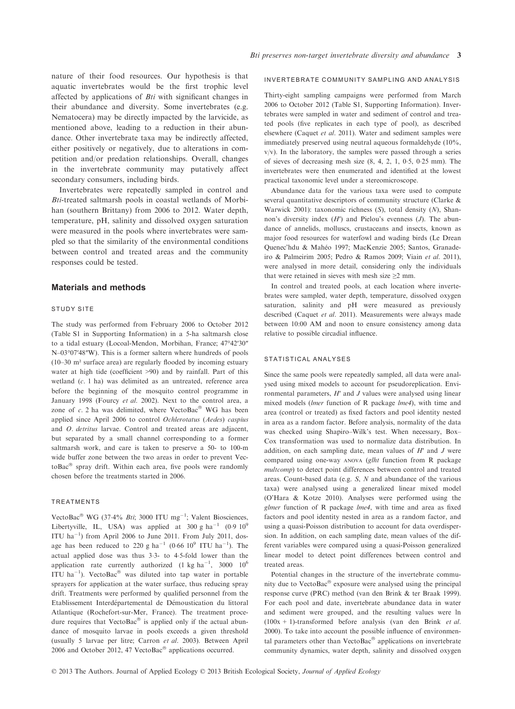nature of their food resources. Our hypothesis is that aquatic invertebrates would be the first trophic level affected by applications of Bti with significant changes in their abundance and diversity. Some invertebrates (e.g. Nematocera) may be directly impacted by the larvicide, as mentioned above, leading to a reduction in their abundance. Other invertebrate taxa may be indirectly affected, either positively or negatively, due to alterations in competition and/or predation relationships. Overall, changes in the invertebrate community may putatively affect secondary consumers, including birds.

Invertebrates were repeatedly sampled in control and Bti-treated saltmarsh pools in coastal wetlands of Morbihan (southern Brittany) from 2006 to 2012. Water depth, temperature, pH, salinity and dissolved oxygen saturation were measured in the pools where invertebrates were sampled so that the similarity of the environmental conditions between control and treated areas and the community responses could be tested.

## Materials and methods

#### STUDY SITE

The study was performed from February 2006 to October 2012 (Table S1 in Supporting Information) in a 5-ha saltmarsh close to a tidal estuary (Locoal-Mendon, Morbihan, France; 47°42′30″ N–03°07′48″W). This is a former saltern where hundreds of pools (10–30 m² surface area) are regularly flooded by incoming estuary water at high tide (coefficient >90) and by rainfall. Part of this wetland (c. 1 ha) was delimited as an untreated, reference area before the beginning of the mosquito control programme in January 1998 (Fourcy et al. 2002). Next to the control area, a zone of  $c$ . 2 ha was delimited, where VectoBac® WG has been applied since April 2006 to control Ochlerotatus (Aedes) caspius and *O. detritus* larvae. Control and treated areas are adjacent, but separated by a small channel corresponding to a former saltmarsh work, and care is taken to preserve a 50- to 100-m wide buffer zone between the two areas in order to prevent VectoBac $\mathscr P$  spray drift. Within each area, five pools were randomly chosen before the treatments started in 2006.

#### TREATMENTS

VectoBac<sup>®</sup> WG (37.4% *Bti*; 3000 ITU mg<sup>-1</sup>; Valent Biosciences, Libertyville, IL, USA) was applied at 300 g ha<sup>-1</sup> (0.9 10<sup>9</sup>) ITU  $ha^{-1}$ ) from April 2006 to June 2011. From July 2011, dosage has been reduced to 220 g  $ha^{-1}$  (0.66 10<sup>9</sup> ITU  $ha^{-1}$ ). The actual applied dose was thus 33- to 45-fold lower than the application rate currently authorized (1 kg ha<sup>-1</sup>, 3000  $10^6$ ITU ha<sup>-1</sup>). VectoBac<sup>®</sup> was diluted into tap water in portable sprayers for application at the water surface, thus reducing spray drift. Treatments were performed by qualified personnel from the Etablissement Interdépartemental de Démoustication du littoral Atlantique (Rochefort-sur-Mer, France). The treatment procedure requires that  $VectorBac^{\circledcirc}$  is applied only if the actual abundance of mosquito larvae in pools exceeds a given threshold (usually 5 larvae per litre; Carron et al. 2003). Between April 2006 and October 2012, 47 VectoBac® applications occurred.

#### INVERTEBRATE COMMUNITY SAMPLING AND ANALYSIS

Thirty-eight sampling campaigns were performed from March 2006 to October 2012 (Table S1, Supporting Information). Invertebrates were sampled in water and sediment of control and treated pools (five replicates in each type of pool), as described elsewhere (Caquet et al. 2011). Water and sediment samples were immediately preserved using neutral aqueous formaldehyde (10%,  $v/v$ ). In the laboratory, the samples were passed through a series of sieves of decreasing mesh size  $(8, 4, 2, 1, 0.5, 0.25 \text{ mm})$ . The invertebrates were then enumerated and identified at the lowest practical taxonomic level under a stereomicroscope.

Abundance data for the various taxa were used to compute several quantitative descriptors of community structure (Clarke & Warwick 2001): taxonomic richness  $(S)$ , total density  $(N)$ , Shannon's diversity index  $(H')$  and Pielou's evenness  $(J)$ . The abundance of annelids, molluscs, crustaceans and insects, known as major food resources for waterfowl and wading birds (Le Drean Quenec'hdu & Maheo 1997; MacKenzie 2005; Santos, Granadeiro & Palmeirim 2005; Pedro & Ramos 2009; Viain et al. 2011), were analysed in more detail, considering only the individuals that were retained in sieves with mesh size  $\geq 2$  mm.

In control and treated pools, at each location where invertebrates were sampled, water depth, temperature, dissolved oxygen saturation, salinity and pH were measured as previously described (Caquet et al. 2011). Measurements were always made between 10:00 AM and noon to ensure consistency among data relative to possible circadial influence.

#### STATISTICAL ANALYSES

Since the same pools were repeatedly sampled, all data were analysed using mixed models to account for pseudoreplication. Environmental parameters,  $H'$  and  $J$  values were analysed using linear mixed models (lmer function of R package lme4), with time and area (control or treated) as fixed factors and pool identity nested in area as a random factor. Before analysis, normality of the data was checked using Shapiro–Wilk's test. When necessary, Box– Cox transformation was used to normalize data distribution. In addition, on each sampling date, mean values of  $H'$  and  $J$  were compared using one-way ANOVA (glht function from R package multcomp) to detect point differences between control and treated areas. Count-based data (e.g. S, N and abundance of the various taxa) were analysed using a generalized linear mixed model (O'Hara & Kotze 2010). Analyses were performed using the glmer function of R package lme4, with time and area as fixed factors and pool identity nested in area as a random factor, and using a quasi-Poisson distribution to account for data overdispersion. In addition, on each sampling date, mean values of the different variables were compared using a quasi-Poisson generalized linear model to detect point differences between control and treated areas.

Potential changes in the structure of the invertebrate community due to VectoBac $^{\circledR}$  exposure were analysed using the principal response curve (PRC) method (van den Brink & ter Braak 1999). For each pool and date, invertebrate abundance data in water and sediment were grouped, and the resulting values were ln  $(100x + 1)$ -transformed before analysis (van den Brink *et al.*) 2000). To take into account the possible influence of environmental parameters other than VectoBac $^{\circledR}$  applications on invertebrate community dynamics, water depth, salinity and dissolved oxygen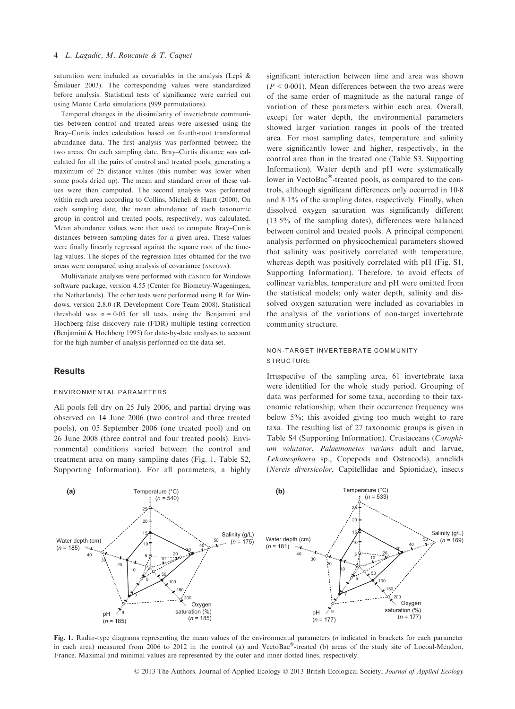saturation were included as covariables in the analysis (Leps & Smilauer 2003). The corresponding values were standardized before analysis. Statistical tests of significance were carried out using Monte Carlo simulations (999 permutations).

Temporal changes in the dissimilarity of invertebrate communities between control and treated areas were assessed using the Bray–Curtis index calculation based on fourth-root transformed abundance data. The first analysis was performed between the two areas. On each sampling date, Bray–Curtis distance was calculated for all the pairs of control and treated pools, generating a maximum of 25 distance values (this number was lower when some pools dried up). The mean and standard error of these values were then computed. The second analysis was performed within each area according to Collins, Micheli & Hartt (2000). On each sampling date, the mean abundance of each taxonomic group in control and treated pools, respectively, was calculated. Mean abundance values were then used to compute Bray–Curtis distances between sampling dates for a given area. These values were finally linearly regressed against the square root of the timelag values. The slopes of the regression lines obtained for the two areas were compared using analysis of covariance (ANCOVA).

Multivariate analyses were performed with CANOCO for Windows software package, version 4.55 (Center for Biometry-Wageningen, the Netherlands). The other tests were performed using R for Windows, version 2.8.0 (R Development Core Team 2008). Statistical threshold was  $\alpha = 0.05$  for all tests, using the Benjamini and Hochberg false discovery rate (FDR) multiple testing correction (Benjamini & Hochberg 1995) for date-by-date analyses to account for the high number of analysis performed on the data set.

#### **Results**

#### ENVIRONMENTAL PARAMETERS

All pools fell dry on 25 July 2006, and partial drying was observed on 14 June 2006 (two control and three treated pools), on 05 September 2006 (one treated pool) and on 26 June 2008 (three control and four treated pools). Environmental conditions varied between the control and treatment area on many sampling dates (Fig. 1, Table S2, Supporting Information). For all parameters, a highly

significant interaction between time and area was shown  $(P < 0.001)$ . Mean differences between the two areas were of the same order of magnitude as the natural range of variation of these parameters within each area. Overall, except for water depth, the environmental parameters showed larger variation ranges in pools of the treated area. For most sampling dates, temperature and salinity were significantly lower and higher, respectively, in the control area than in the treated one (Table S3, Supporting Information). Water depth and pH were systematically lower in VectoBac $^{\circledR}$ -treated pools, as compared to the controls, although significant differences only occurred in 10.8 and 81% of the sampling dates, respectively. Finally, when dissolved oxygen saturation was significantly different (135% of the sampling dates), differences were balanced between control and treated pools. A principal component analysis performed on physicochemical parameters showed that salinity was positively correlated with temperature, whereas depth was positively correlated with pH (Fig. S1, Supporting Information). Therefore, to avoid effects of collinear variables, temperature and pH were omitted from the statistical models; only water depth, salinity and dissolved oxygen saturation were included as covariables in the analysis of the variations of non-target invertebrate community structure.

# NON-TARGET INVERTEBRATE COMMUNITY **STRUCTURE**

Irrespective of the sampling area, 61 invertebrate taxa were identified for the whole study period. Grouping of data was performed for some taxa, according to their taxonomic relationship, when their occurrence frequency was below 5%; this avoided giving too much weight to rare taxa. The resulting list of 27 taxonomic groups is given in Table S4 (Supporting Information). Crustaceans (Corophium volutator, Palaemonetes varians adult and larvae, Lekanesphaera sp., Copepods and Ostracods), annelids (Nereis diversicolor, Capitellidae and Spionidae), insects



Fig. 1. Radar-type diagrams representing the mean values of the environmental parameters  $(n)$  indicated in brackets for each parameter in each area) measured from 2006 to 2012 in the control (a) and VectoBac $^\circ$ -treated (b) areas of the study site of Locoal-Mendon, France. Maximal and minimal values are represented by the outer and inner dotted lines, respectively.

© 2013 The Authors. Journal of Applied Ecology © 2013 British Ecological Society, Journal of Applied Ecology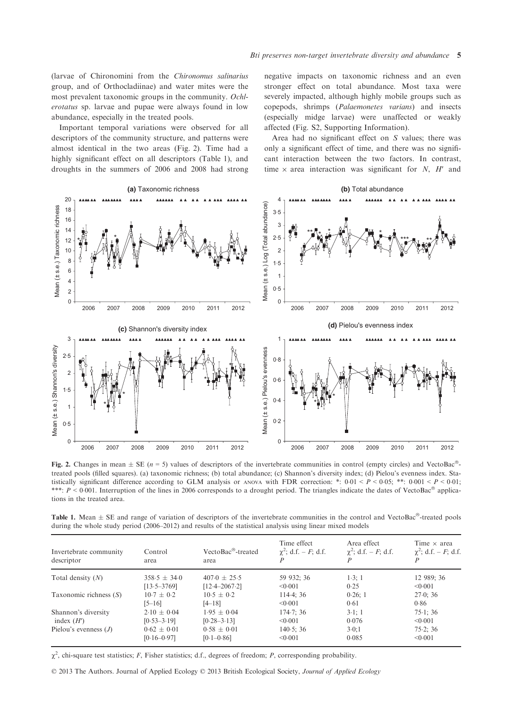(larvae of Chironomini from the Chironomus salinarius group, and of Orthocladiinae) and water mites were the most prevalent taxonomic groups in the community. Ochlerotatus sp. larvae and pupae were always found in low abundance, especially in the treated pools.

Important temporal variations were observed for all descriptors of the community structure, and patterns were almost identical in the two areas (Fig. 2). Time had a highly significant effect on all descriptors (Table 1), and droughts in the summers of 2006 and 2008 had strong negative impacts on taxonomic richness and an even stronger effect on total abundance. Most taxa were severely impacted, although highly mobile groups such as copepods, shrimps (Palaemonetes varians) and insects (especially midge larvae) were unaffected or weakly affected (Fig. S2, Supporting Information).

Area had no significant effect on S values; there was only a significant effect of time, and there was no significant interaction between the two factors. In contrast, time  $\times$  area interaction was significant for N, H' and



Fig. 2. Changes in mean  $\pm$  SE (n = 5) values of descriptors of the invertebrate communities in control (empty circles) and VectoBac<sup>®</sup>treated pools (filled squares). (a) taxonomic richness; (b) total abundance; (c) Shannon's diversity index; (d) Pielou's evenness index. Statistically significant difference according to GLM analysis or ANOVA with FDR correction: \*:  $0.01 < P < 0.05$ ; \*\*:  $0.001 < P < 0.01$ ; \*\*\*:  $P < 0.001$ . Interruption of the lines in 2006 corresponds to a drought period. The triangles indicate the dates of VectoBac<sup>®</sup> applications in the treated area.

Table 1. Mean  $\pm$  SE and range of variation of descriptors of the invertebrate communities in the control and VectoBac<sup>®</sup>-treated pools during the whole study period (2006–2012) and results of the statistical analysis using linear mixed models

| Invertebrate community<br>descriptor | Control<br>area  | VectoBac <sup>®</sup> -treated<br>area | Time effect<br>$\chi^2$ ; d.f. – F; d.f. | Area effect<br>$\chi^2$ ; d.f. – F; d.f. | Time $\times$ area<br>$\chi^2$ ; d.f. – F; d.f.<br>P |
|--------------------------------------|------------------|----------------------------------------|------------------------------------------|------------------------------------------|------------------------------------------------------|
| Total density $(N)$                  | $358.5 \pm 34.0$ | $407.0 \pm 25.5$                       | 59 932; 36                               | 1.3:1                                    | 12 989; 36                                           |
|                                      | $[13.5 - 3769]$  | $[12.4 - 2067.2]$                      | < 0.001                                  | 0.25                                     | < 0.001                                              |
| Taxonomic richness $(S)$             | $10.7 + 0.2$     | $10.5 + 0.2$                           | 114.4:36                                 | 0.26:1                                   | 27.0; 36                                             |
|                                      | $[5 - 16]$       | $[4 - 18]$                             | < 0.001                                  | 0.61                                     | 0.86                                                 |
| Shannon's diversity<br>index $(H')$  | $2.10 \pm 0.04$  | $1.95 \pm 0.04$                        | 174.7; 36                                | $3-1:1$                                  | 75.1:36                                              |
|                                      | $[0.53 - 3.19]$  | $[0.28 - 3.13]$                        | < 0.001                                  | 0.076                                    | < 0.001                                              |
| Pielou's evenness $(J)$              | $0.62 \pm 0.01$  | $0.58 \pm 0.01$                        | 140.5; 36                                | 3.0:1                                    | 75.2; 36                                             |
|                                      | $[0.16 - 0.97]$  | $[0.1 - 0.86]$                         | < 0.001                                  | 0.085                                    | < 0.001                                              |

 $\chi^2$ , chi-square test statistics; F, Fisher statistics; d.f., degrees of freedom; P, corresponding probability.

© 2013 The Authors. Journal of Applied Ecology © 2013 British Ecological Society, Journal of Applied Ecology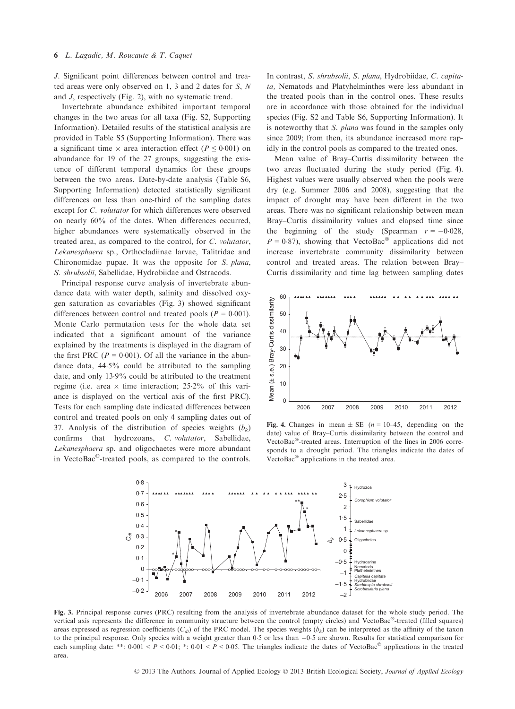J. Significant point differences between control and treated areas were only observed on 1, 3 and 2 dates for S, N and J, respectively (Fig. 2), with no systematic trend.

Invertebrate abundance exhibited important temporal changes in the two areas for all taxa (Fig. S2, Supporting Information). Detailed results of the statistical analysis are provided in Table S5 (Supporting Information). There was a significant time  $\times$  area interaction effect ( $P \le 0.001$ ) on abundance for 19 of the 27 groups, suggesting the existence of different temporal dynamics for these groups between the two areas. Date-by-date analysis (Table S6, Supporting Information) detected statistically significant differences on less than one-third of the sampling dates except for C. volutator for which differences were observed on nearly 60% of the dates. When differences occurred, higher abundances were systematically observed in the treated area, as compared to the control, for C. volutator, Lekanesphaera sp., Orthocladiinae larvae, Talitridae and Chironomidae pupae. It was the opposite for S. plana, S. shrubsolii, Sabellidae, Hydrobiidae and Ostracods.

Principal response curve analysis of invertebrate abundance data with water depth, salinity and dissolved oxygen saturation as covariables (Fig. 3) showed significant differences between control and treated pools ( $P = 0.001$ ). Monte Carlo permutation tests for the whole data set indicated that a significant amount of the variance explained by the treatments is displayed in the diagram of the first PRC ( $P = 0.001$ ). Of all the variance in the abundance data, 445% could be attributed to the sampling date, and only 139% could be attributed to the treatment regime (i.e. area  $\times$  time interaction; 25.2% of this variance is displayed on the vertical axis of the first PRC). Tests for each sampling date indicated differences between control and treated pools on only 4 sampling dates out of 37. Analysis of the distribution of species weights  $(b_k)$ confirms that hydrozoans, C. volutator, Sabellidae, Lekanesphaera sp. and oligochaetes were more abundant in VectoBac $^{\circledR}$ -treated pools, as compared to the controls.

In contrast, S. shrubsolii, S. plana, Hydrobiidae, C. capitata, Nematods and Platyhelminthes were less abundant in the treated pools than in the control ones. These results are in accordance with those obtained for the individual species (Fig. S2 and Table S6, Supporting Information). It is noteworthy that *S. plana* was found in the samples only since 2009; from then, its abundance increased more rapidly in the control pools as compared to the treated ones.

Mean value of Bray–Curtis dissimilarity between the two areas fluctuated during the study period (Fig. 4). Highest values were usually observed when the pools were dry (e.g. Summer 2006 and 2008), suggesting that the impact of drought may have been different in the two areas. There was no significant relationship between mean Bray–Curtis dissimilarity values and elapsed time since the beginning of the study (Spearman  $r = -0.028$ ,  $P = 0.87$ ), showing that VectoBac<sup>®</sup> applications did not increase invertebrate community dissimilarity between control and treated areas. The relation between Bray– Curtis dissimilarity and time lag between sampling dates



Fig. 4. Changes in mean  $\pm$  SE (*n* = 10–45, depending on the date) value of Bray–Curtis dissimilarity between the control and VectoBac<sup>®</sup>-treated areas. Interruption of the lines in 2006 corresponds to a drought period. The triangles indicate the dates of VectoBac $^{\circledR}$  applications in the treated area.



Fig. 3. Principal response curves (PRC) resulting from the analysis of invertebrate abundance dataset for the whole study period. The vertical axis represents the difference in community structure between the control (empty circles) and VectoBac<sup>®</sup>-treated (filled squares) areas expressed as regression coefficients ( $C_{di}$ ) of the PRC model. The species weights ( $b_k$ ) can be interpreted as the affinity of the taxon to the principal response. Only species with a weight greater than 0.5 or less than  $-0.5$  are shown. Results for statistical comparison for each sampling date: \*\*:  $0.001 < P < 0.01$ ; \*:  $0.01 < P < 0.05$ . The triangles indicate the dates of VectoBac<sup>®</sup> applications in the treated area.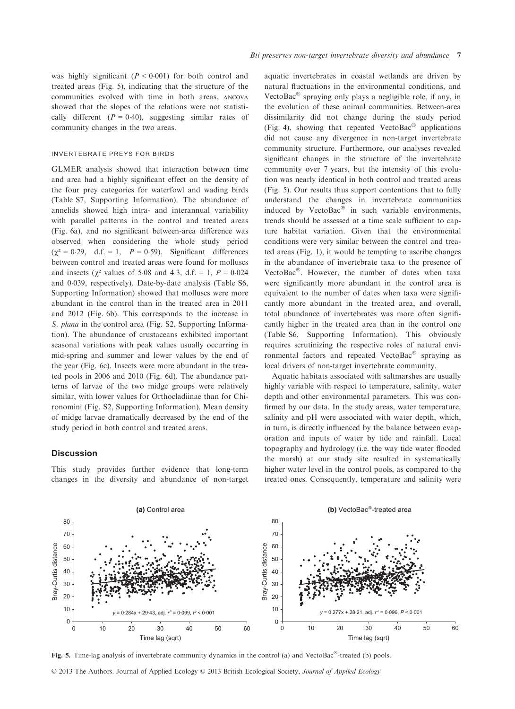was highly significant  $(P < 0.001)$  for both control and treated areas (Fig. 5), indicating that the structure of the communities evolved with time in both areas. ANCOVA showed that the slopes of the relations were not statistically different ( $P = 0.40$ ), suggesting similar rates of community changes in the two areas.

### INVERTEBRATE PREYS FOR BIRDS

GLMER analysis showed that interaction between time and area had a highly significant effect on the density of the four prey categories for waterfowl and wading birds (Table S7, Supporting Information). The abundance of annelids showed high intra- and interannual variability with parallel patterns in the control and treated areas (Fig. 6a), and no significant between-area difference was observed when considering the whole study period  $(\chi^2 = 0.29, d.f. = 1, P = 0.59)$ . Significant differences between control and treated areas were found for molluscs and insects ( $\chi^2$  values of 5.08 and 4.3, d.f. = 1,  $P = 0.024$ and 0.039, respectively). Date-by-date analysis (Table S6, Supporting Information) showed that molluscs were more abundant in the control than in the treated area in 2011 and 2012 (Fig. 6b). This corresponds to the increase in S. plana in the control area (Fig. S2, Supporting Information). The abundance of crustaceans exhibited important seasonal variations with peak values usually occurring in mid-spring and summer and lower values by the end of the year (Fig. 6c). Insects were more abundant in the treated pools in 2006 and 2010 (Fig. 6d). The abundance patterns of larvae of the two midge groups were relatively similar, with lower values for Orthocladiinae than for Chironomini (Fig. S2, Supporting Information). Mean density of midge larvae dramatically decreased by the end of the study period in both control and treated areas.

## **Discussion**

This study provides further evidence that long-term changes in the diversity and abundance of non-target

aquatic invertebrates in coastal wetlands are driven by natural fluctuations in the environmental conditions, and VectoBac $\mathcal O$  spraying only plays a negligible role, if any, in the evolution of these animal communities. Between-area dissimilarity did not change during the study period (Fig. 4), showing that repeated VectoBac $^{\circledR}$  applications did not cause any divergence in non-target invertebrate community structure. Furthermore, our analyses revealed significant changes in the structure of the invertebrate community over 7 years, but the intensity of this evolution was nearly identical in both control and treated areas (Fig. 5). Our results thus support contentions that to fully understand the changes in invertebrate communities induced by VectoBac $^{\circ}$  in such variable environments, trends should be assessed at a time scale sufficient to capture habitat variation. Given that the environmental conditions were very similar between the control and treated areas (Fig. 1), it would be tempting to ascribe changes in the abundance of invertebrate taxa to the presence of VectoBac $^{\circ}$ . However, the number of dates when taxa were significantly more abundant in the control area is equivalent to the number of dates when taxa were significantly more abundant in the treated area, and overall, total abundance of invertebrates was more often significantly higher in the treated area than in the control one (Table S6, Supporting Information). This obviously requires scrutinizing the respective roles of natural environmental factors and repeated VectoBac® spraying as local drivers of non-target invertebrate community.

Aquatic habitats associated with saltmarshes are usually highly variable with respect to temperature, salinity, water depth and other environmental parameters. This was confirmed by our data. In the study areas, water temperature, salinity and pH were associated with water depth, which, in turn, is directly influenced by the balance between evaporation and inputs of water by tide and rainfall. Local topography and hydrology (i.e. the way tide water flooded the marsh) at our study site resulted in systematically higher water level in the control pools, as compared to the treated ones. Consequently, temperature and salinity were



Fig. 5. Time-lag analysis of invertebrate community dynamics in the control (a) and VectoBac<sup>®</sup>-treated (b) pools.

© 2013 The Authors. Journal of Applied Ecology © 2013 British Ecological Society, Journal of Applied Ecology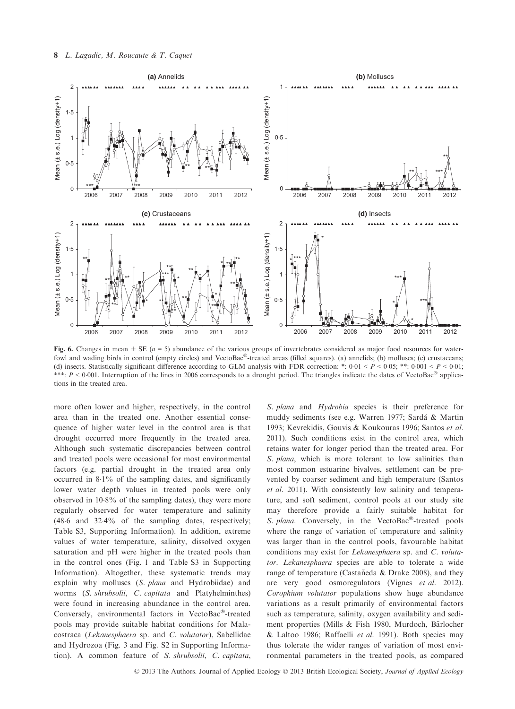

Fig. 6. Changes in mean  $\pm$  SE ( $n = 5$ ) abundance of the various groups of invertebrates considered as major food resources for waterfowl and wading birds in control (empty circles) and VectoBac®-treated areas (filled squares). (a) annelids; (b) molluscs; (c) crustaceans; (d) insects. Statistically significant difference according to GLM analysis with FDR correction: \*:  $0.01 < P < 0.05$ ; \*\*:  $0.001 < P < 0.01$ ; \*\*\*:  $P \leq 0.001$ . Interruption of the lines in 2006 corresponds to a drought period. The triangles indicate the dates of VectoBac<sup>®</sup> applications in the treated area.

more often lower and higher, respectively, in the control area than in the treated one. Another essential consequence of higher water level in the control area is that drought occurred more frequently in the treated area. Although such systematic discrepancies between control and treated pools were occasional for most environmental factors (e.g. partial drought in the treated area only occurred in 81% of the sampling dates, and significantly lower water depth values in treated pools were only observed in 108% of the sampling dates), they were more regularly observed for water temperature and salinity (486 and 324% of the sampling dates, respectively; Table S3, Supporting Information). In addition, extreme values of water temperature, salinity, dissolved oxygen saturation and pH were higher in the treated pools than in the control ones (Fig. 1 and Table S3 in Supporting Information). Altogether, these systematic trends may explain why molluscs (S. plana and Hydrobiidae) and worms (S. shrubsolii, C. capitata and Platyhelminthes) were found in increasing abundance in the control area. Conversely, environmental factors in VectoBac®-treated pools may provide suitable habitat conditions for Malacostraca (Lekanesphaera sp. and C. volutator), Sabellidae and Hydrozoa (Fig. 3 and Fig. S2 in Supporting Information). A common feature of S. shrubsolii, C. capitata,

S. plana and Hydrobia species is their preference for muddy sediments (see e.g. Warren 1977; Sarda & Martin 1993; Kevrekidis, Gouvis & Koukouras 1996; Santos et al. 2011). Such conditions exist in the control area, which retains water for longer period than the treated area. For S. plana, which is more tolerant to low salinities than most common estuarine bivalves, settlement can be prevented by coarser sediment and high temperature (Santos et al. 2011). With consistently low salinity and temperature, and soft sediment, control pools at our study site may therefore provide a fairly suitable habitat for S. plana. Conversely, in the VectoBac®-treated pools where the range of variation of temperature and salinity was larger than in the control pools, favourable habitat conditions may exist for Lekanesphaera sp. and C. volutator. Lekanesphaera species are able to tolerate a wide range of temperature (Castañeda & Drake 2008), and they are very good osmoregulators (Vignes et al. 2012). Corophium volutator populations show huge abundance variations as a result primarily of environmental factors such as temperature, salinity, oxygen availability and sediment properties (Mills & Fish 1980, Murdoch, Bärlocher & Laltoo 1986; Raffaelli et al. 1991). Both species may thus tolerate the wider ranges of variation of most environmental parameters in the treated pools, as compared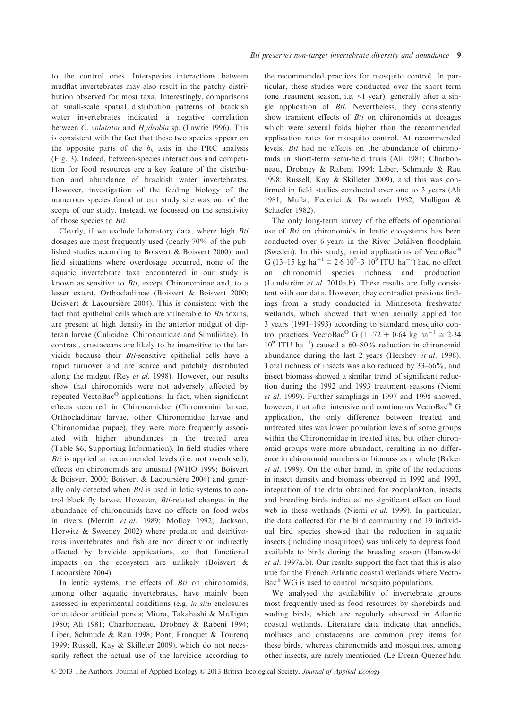to the control ones. Interspecies interactions between mudflat invertebrates may also result in the patchy distribution observed for most taxa. Interestingly, comparisons of small-scale spatial distribution patterns of brackish water invertebrates indicated a negative correlation between C. volutator and Hydrobia sp. (Lawrie 1996). This is consistent with the fact that these two species appear on the opposite parts of the  $b_k$  axis in the PRC analysis (Fig. 3). Indeed, between-species interactions and competition for food resources are a key feature of the distribution and abundance of brackish water invertebrates. However, investigation of the feeding biology of the numerous species found at our study site was out of the scope of our study. Instead, we focussed on the sensitivity of those species to Bti.

Clearly, if we exclude laboratory data, where high Bti dosages are most frequently used (nearly 70% of the published studies according to Boisvert & Boisvert 2000), and field situations where overdosage occurred, none of the aquatic invertebrate taxa encountered in our study is known as sensitive to Bti, except Chironominae and, to a lesser extent, Orthocladiinae (Boisvert & Boisvert 2000; Boisvert  $\&$  Lacoursière 2004). This is consistent with the fact that epithelial cells which are vulnerable to  $Bti$  toxins, are present at high density in the anterior midgut of dipteran larvae (Culicidae, Chironomidae and Simuliidae). In contrast, crustaceans are likely to be insensitive to the larvicide because their Bti-sensitive epithelial cells have a rapid turnover and are scarce and patchily distributed along the midgut (Rey et al. 1998). However, our results show that chironomids were not adversely affected by repeated VectoBac $^{\circledR}$  applications. In fact, when significant effects occurred in Chironomidae (Chironomini larvae, Orthocladiinae larvae, other Chironomidae larvae and Chironomidae pupae), they were more frequently associated with higher abundances in the treated area (Table S6, Supporting Information). In field studies where Bti is applied at recommended levels (i.e. not overdosed), effects on chironomids are unusual (WHO 1999; Boisvert & Boisvert 2000; Boisvert & Lacoursiere 2004) and generally only detected when  $Bti$  is used in lotic systems to control black fly larvae. However, Bti-related changes in the abundance of chironomids have no effects on food webs in rivers (Merritt et al. 1989; Molloy 1992; Jackson, Horwitz & Sweeney 2002) where predator and detritivorous invertebrates and fish are not directly or indirectly affected by larvicide applications, so that functional impacts on the ecosystem are unlikely (Boisvert & Lacoursière 2004).

In lentic systems, the effects of  $Bti$  on chironomids, among other aquatic invertebrates, have mainly been assessed in experimental conditions (e.g. in situ enclosures or outdoor artificial ponds; Miura, Takahashi & Mulligan 1980; Ali 1981; Charbonneau, Drobney & Rabeni 1994; Liber, Schmude & Rau 1998; Pont, Franquet & Tourenq 1999; Russell, Kay & Skilleter 2009), which do not necessarily reflect the actual use of the larvicide according to

the recommended practices for mosquito control. In particular, these studies were conducted over the short term (one treatment season, i.e.  $\leq 1$  year), generally after a single application of Bti. Nevertheless, they consistently show transient effects of Bti on chironomids at dosages which were several folds higher than the recommended application rates for mosquito control. At recommended levels, Bti had no effects on the abundance of chironomids in short-term semi-field trials (Ali 1981; Charbonneau, Drobney & Rabeni 1994; Liber, Schmude & Rau 1998; Russell, Kay & Skilleter 2009), and this was confirmed in field studies conducted over one to 3 years (Ali 1981; Mulla, Federici & Darwazeh 1982; Mulligan & Schaefer 1982).

The only long-term survey of the effects of operational use of *Bti* on chironomids in lentic ecosystems has been conducted over 6 years in the River Dalälven floodplain (Sweden). In this study, aerial applications of VectoBac G (13–15 kg ha<sup>-1</sup>  $\equiv$  2.6 10<sup>9</sup>–3 10<sup>9</sup> ITU ha<sup>-1</sup>) had no effect on chironomid species richness and production (Lundström et al. 2010a,b). These results are fully consistent with our data. However, they contradict previous findings from a study conducted in Minnesota freshwater wetlands, which showed that when aerially applied for 3 years (1991–1993) according to standard mosquito control practices, VectoBac<sup>®</sup> G (11.72  $\pm$  0.64 kg ha<sup>-1</sup>  $\approx$  2.34  $10<sup>9</sup>$  ITU ha<sup>-1</sup>) caused a 60-80% reduction in chironomid abundance during the last 2 years (Hershey et al. 1998). Total richness of insects was also reduced by 33–66%, and insect biomass showed a similar trend of significant reduction during the 1992 and 1993 treatment seasons (Niemi et al. 1999). Further samplings in 1997 and 1998 showed, however, that after intensive and continuous VectoBac $^{\circledR}$  G application, the only difference between treated and untreated sites was lower population levels of some groups within the Chironomidae in treated sites, but other chironomid groups were more abundant, resulting in no difference in chironomid numbers or biomass as a whole (Balcer et al. 1999). On the other hand, in spite of the reductions in insect density and biomass observed in 1992 and 1993, integration of the data obtained for zooplankton, insects and breeding birds indicated no significant effect on food web in these wetlands (Niemi et al. 1999). In particular, the data collected for the bird community and 19 individual bird species showed that the reduction in aquatic insects (including mosquitoes) was unlikely to depress food available to birds during the breeding season (Hanowski et al. 1997a,b). Our results support the fact that this is also true for the French Atlantic coastal wetlands where Vecto- $Bac^{\circledcirc}$  WG is used to control mosquito populations.

We analysed the availability of invertebrate groups most frequently used as food resources by shorebirds and wading birds, which are regularly observed in Atlantic coastal wetlands. Literature data indicate that annelids, molluscs and crustaceans are common prey items for these birds, whereas chironomids and mosquitoes, among other insects, are rarely mentioned (Le Drean Quenec'hdu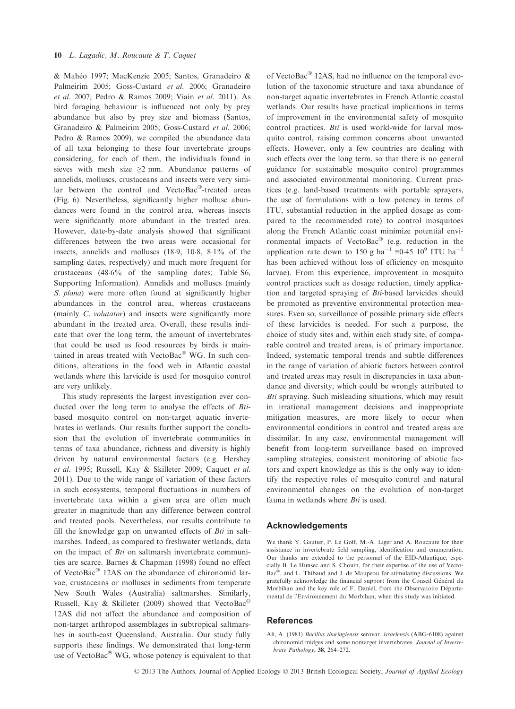& Maheo 1997; MacKenzie 2005; Santos, Granadeiro & Palmeirim 2005; Goss-Custard et al. 2006; Granadeiro et al. 2007; Pedro & Ramos 2009; Viain et al. 2011). As bird foraging behaviour is influenced not only by prey abundance but also by prey size and biomass (Santos, Granadeiro & Palmeirim 2005; Goss-Custard et al. 2006; Pedro & Ramos 2009), we compiled the abundance data of all taxa belonging to these four invertebrate groups considering, for each of them, the individuals found in sieves with mesh size  $\geq 2$  mm. Abundance patterns of annelids, molluscs, crustaceans and insects were very similar between the control and VectoBac®-treated areas (Fig. 6). Nevertheless, significantly higher mollusc abundances were found in the control area, whereas insects were significantly more abundant in the treated area. However, date-by-date analysis showed that significant differences between the two areas were occasional for insects, annelids and molluscs (189, 108, 81% of the sampling dates, respectively) and much more frequent for crustaceans (486% of the sampling dates; Table S6, Supporting Information). Annelids and molluscs (mainly S. *plana*) were more often found at significantly higher abundances in the control area, whereas crustaceans (mainly *C. volutator*) and insects were significantly more abundant in the treated area. Overall, these results indicate that over the long term, the amount of invertebrates that could be used as food resources by birds is maintained in areas treated with VectoBac $^{\circ}$  WG. In such conditions, alterations in the food web in Atlantic coastal wetlands where this larvicide is used for mosquito control are very unlikely.

This study represents the largest investigation ever conducted over the long term to analyse the effects of Btibased mosquito control on non-target aquatic invertebrates in wetlands. Our results further support the conclusion that the evolution of invertebrate communities in terms of taxa abundance, richness and diversity is highly driven by natural environmental factors (e.g. Hershey et al. 1995; Russell, Kay & Skilleter 2009; Caquet et al. 2011). Due to the wide range of variation of these factors in such ecosystems, temporal fluctuations in numbers of invertebrate taxa within a given area are often much greater in magnitude than any difference between control and treated pools. Nevertheless, our results contribute to fill the knowledge gap on unwanted effects of  $Bti$  in saltmarshes. Indeed, as compared to freshwater wetlands, data on the impact of Bti on saltmarsh invertebrate communities are scarce. Barnes & Chapman (1998) found no effect of VectoBac<sup>®</sup> 12AS on the abundance of chironomid larvae, crustaceans or molluscs in sediments from temperate New South Wales (Australia) saltmarshes. Similarly, Russell, Kay & Skilleter (2009) showed that VectoBac® 12AS did not affect the abundance and composition of non-target arthropod assemblages in subtropical saltmarshes in south-east Queensland, Australia. Our study fully supports these findings. We demonstrated that long-term use of VectoBac $^{\circledR}$  WG, whose potency is equivalent to that

of VectoBac $^{\circ}$  12AS, had no influence on the temporal evolution of the taxonomic structure and taxa abundance of non-target aquatic invertebrates in French Atlantic coastal wetlands. Our results have practical implications in terms of improvement in the environmental safety of mosquito control practices. Bti is used world-wide for larval mosquito control, raising common concerns about unwanted effects. However, only a few countries are dealing with such effects over the long term, so that there is no general guidance for sustainable mosquito control programmes and associated environmental monitoring. Current practices (e.g. land-based treatments with portable sprayers, the use of formulations with a low potency in terms of ITU, substantial reduction in the applied dosage as compared to the recommended rate) to control mosquitoes along the French Atlantic coast minimize potential environmental impacts of VectoBac $^{\circledR}$  (e.g. reduction in the application rate down to 150 g ha<sup>-1</sup> ≡0.45 10<sup>9</sup> ITU ha<sup>-1</sup> has been achieved without loss of efficiency on mosquito larvae). From this experience, improvement in mosquito control practices such as dosage reduction, timely application and targeted spraying of Bti-based larvicides should be promoted as preventive environmental protection measures. Even so, surveillance of possible primary side effects of these larvicides is needed. For such a purpose, the choice of study sites and, within each study site, of comparable control and treated areas, is of primary importance. Indeed, systematic temporal trends and subtle differences in the range of variation of abiotic factors between control and treated areas may result in discrepancies in taxa abundance and diversity, which could be wrongly attributed to Bti spraying. Such misleading situations, which may result in irrational management decisions and inappropriate mitigation measures, are more likely to occur when environmental conditions in control and treated areas are dissimilar. In any case, environmental management will benefit from long-term surveillance based on improved sampling strategies, consistent monitoring of abiotic factors and expert knowledge as this is the only way to identify the respective roles of mosquito control and natural environmental changes on the evolution of non-target fauna in wetlands where *Bti* is used.

## Acknowledgements

We thank Y. Gautier, P. Le Goff, M.-A. Liger and A. Roucaute for their assistance in invertebrate field sampling, identification and enumeration. Our thanks are extended to the personnel of the EID-Atlantique, especially B. Le Hunsec and S. Chouin, for their expertise of the use of Vecto-Bac<sup>®</sup>, and L. Thibaud and J. de Maupeou for stimulating discussions. We gratefully acknowledge the financial support from the Conseil Général du Morbihan and the key role of F. Daniel, from the Observatoire Départemental de l'Environnement du Morbihan, when this study was initiated.

## References

Ali, A. (1981) Bacillus thuringiensis serovar. israelensis (ABG-6108) against chironomid midges and some nontarget invertebrates. Journal of Invertebrate Pathology, 38, 264–272.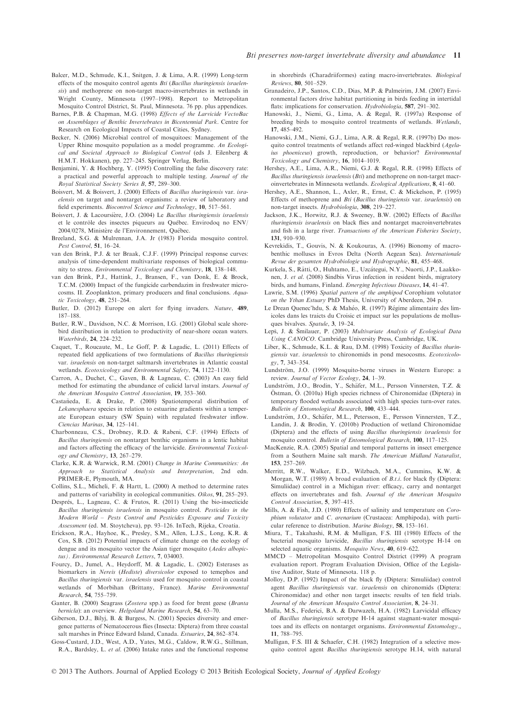- Balcer, M.D., Schmude, K.I., Snitgen, J. & Lima, A.R. (1999) Long-term effects of the mosquito control agents Bti (Bacillus thuringiensis israelensis) and methoprene on non-target macro-invertebrates in wetlands in Wright County, Minnesota (1997–1998). Report to Metropolitan Mosquito Control District, St. Paul, Minnesota. 76 pp. plus appendices.
- Barnes, P.B. & Chapman, M.G. (1998) Effects of the Larvicide VectoBac on Assemblages of Benthic Invertebrates in Bicentennial Park. Centre for Research on Ecological Impacts of Coastal Cities, Sydney.
- Becker, N. (2006) Microbial control of mosquitoes: Management of the Upper Rhine mosquito population as a model programme. An Ecological and Societal Approach to Biological Control (eds J. Eilenberg & H.M.T. Hokkanen), pp. 227–245. Springer Verlag, Berlin.
- Benjamini, Y. & Hochberg, Y. (1995) Controlling the false discovery rate: a practical and powerful approach to multiple testing. Journal of the
- Royal Statistical Society Series B, 57, 289–300. Boisvert, M. & Boisvert, J. (2000) Effects of Bacillus thuringiensis var. israelensis on target and nontarget organisms: a review of laboratory and field experiments. Biocontrol Science and Technology, 10, 517–561.
- Boisvert, J. & Lacoursière, J.O. (2004) Le Bacillus thuringiensis israelensis et le contrôle des insectes piqueurs au Québec. Envirodoq no ENV/ 2004/0278, Ministère de l'Environnement, Québec.
- Breeland, S.G. & Mulrennan, J.A. Jr (1983) Florida mosquito control.
- Pest Control, 51, 16–24.<br>
van den Brink, P.J. & ter Braak, C.J.F. (1999) Principal response curves: analysis of time-dependent multivariate responses of biological community to stress. Environmental Toxicology and Chemistry, 18, 138–148.
- van den Brink, P.J., Hattink, J., Bransen, F., van Donk, E. & Brock, T.C.M. (2000) Impact of the fungicide carbendazim in freshwater microcosms. II. Zooplankton, primary producers and final conclusions. Aquatic Toxicology, 48, 251–264.
- Butler, D. (2012) Europe on alert for flying invaders. Nature, 489, 187–188.
- Butler, R.W., Davidson, N.C. & Morrison, I.G. (2001) Global scale shorebird distribution in relation to productivity of near-shore ocean waters.
- Waterbirds, 24, 224–232. Caquet, T., Roucaute, M., Le Goff, P. & Lagadic, L. (2011) Effects of repeated field applications of two formulations of Bacillus thuringiensis var. israelensis on non-target saltmarsh invertebrates in Atlantic coastal wetlands. Ecotoxicology and Environmental Safety, 74, 1122–1130.
- Carron, A., Duchet, C., Gaven, B. & Lagneau, C. (2003) An easy field method for estimating the abundance of culicid larval instars. Journal of the American Mosquito Control Association, 19, 353–360.
- Castañeda, E. & Drake, P. (2008) Spatiotemporal distribution of Lekanesphaera species in relation to estuarine gradients within a temperate European estuary (SW Spain) with regulated freshwater inflow. Ciencias Marinas, 34, 125–141.
- Charbonneau, C.S., Drobney, R.D. & Rabeni, C.F. (1994) Effects of Bacillus thuringiensis on nontarget benthic organisms in a lentic habitat and factors affecting the efficacy of the larvicide. Environmental Toxicology and Chemistry, 13, 267–279.
- Clarke, K.R. & Warwick, R.M. (2001) Change in Marine Communities: An Approach to Statistical Analysis and Interpretation, 2nd edn. PRIMER-E, Plymouth, MA.
- Collins, S.L., Micheli, F. & Hartt, L. (2000) A method to determine rates and patterns of variability in ecological communities. Oikos, 91, 285–293.
- Després, L., Lagneau, C. & Frutos, R. (2011) Using the bio-insecticide Bacillus thuringiensis israelensis in mosquito control. Pesticides in the Modern World – Pests Control and Pesticides Exposure and Toxicity Assessment (ed. M. Stoytcheva), pp. 93–126. InTech, Rijeka, Croatia.
- Erickson, R.A., Hayhoe, K., Presley, S.M., Allen, L.J.S., Long, K.R. & Cox, S.B. (2012) Potential impacts of climate change on the ecology of dengue and its mosquito vector the Asian tiger mosquito (Aedes albopictus). Environmental Research Letters, 7, 034003.
- Fourcy, D., Jumel, A., Heydorff, M. & Lagadic, L. (2002) Esterases as biomarkers in Nereis (Hediste) diversicolor exposed to temephos and Bacillus thuringiensis var. israelensis used for mosquito control in coastal wetlands of Morbihan (Brittany, France). Marine Environmental Research, 54, 755–759.
- Ganter, B. (2000) Seagrass (Zostera spp.) as food for brent geese (Branta bernicla): an overview. Helgoland Marine Research, 54, 63–70.
- Giberson, D.J., Bilyj, B. & Burgess, N. (2001) Species diversity and emergence patterns of Nematocerous flies (Insecta: Diptera) from three coastal salt marshes in Prince Edward Island, Canada. Estuaries, 24, 862–874.
- Goss-Custard, J.D., West, A.D., Yates, M.G., Caldow, R.W.G., Stillman, R.A., Bardsley, L. et al. (2006) Intake rates and the functional response

in shorebirds (Charadriiformes) eating macro-invertebrates. *Biological* Reviews, **80**, 501–529.

- Reviews, 80, 501–529. Granadeiro, J.P., Santos, C.D., Dias, M.P. & Palmeirim, J.M. (2007) Environmental factors drive habitat partitioning in birds feeding in intertidal flats: implications for conservation. Hydrobiologia, 587, 291-302.
- Hanowski, J., Niemi, G., Lima, A. & Regal, R. (1997a) Response of breeding birds to mosquito control treatments of wetlands. Wetlands, 17, 485-492.
- 17, 485–492. Hanowski, J.M., Niemi, G.J., Lima, A.R. & Regal, R.R. (1997b) Do mosquito control treatments of wetlands affect red-winged blackbird (Agelaius phoeniceus) growth, reproduction, or behavior? Environmental Toxicology and Chemistry, 16, 1014–1019.
- Hershey, A.E., Lima, A.R., Niemi, G.J. & Regal, R.R. (1998) Effects of Bacillus thuringiensis israelensis (Bti) and methoprene on non-target macroinvertebrates in Minnesota wetlands. Ecological Applications, 8, 41–60.
- Hershey, A.E., Shannon, L., Axler, R., Ernst, C. & Mickelson, P. (1995) Effects of methoprene and Bti (Bacillus thuringiensis var. israelensis) on non-target insects. Hydrobiologia, 308, 219–227.
- Jackson, J.K., Horwitz, R.J. & Sweeney, B.W. (2002) Effects of Bacillus thuringiensis israelensis on black flies and nontarget macroinvertebrates and fish in a large river. Transactions of the American Fisheries Society, 131, 910–930.
- Kevrekidis, T., Gouvis, N. & Koukouras, A. (1996) Bionomy of macrobenthic molluscs in Evros Delta (North Aegean Sea). Internationale Revue der gesamten Hydrobiologie und Hydrographie, 81, 455–468.
- Kurkela, S., Rätti, O., Huhtamo, E., Uzcátegui, N.Y., Nuorti, J.P., Laakkonen, J. et al. (2008) Sindbis Virus infection in resident birds, migratory birds, and humans, Finland. Emerging Infectious Diseases, 14, 41–47.
- Lawrie, S.M. (1996) Spatial pattern of the amphipod Corophium volutator on the Ythan Estuary PhD Thesis, University of Aberdeen, 204 p.
- Le Drean Quenec'hdu, S. & Maheo, R. (1997) Regime alimentaire des limicoles dans les traicts du Croisic et impact sur les populations de mollusques bivalves. Spatule, 3, 19–24.
- Leps, J. & Smilauer, P. (2003) Multivariate Analysis of Ecological Data Using CANOCO. Cambridge University Press, Cambridge, UK.
- Liber, K., Schmude, K.L. & Rau, D.M. (1998) Toxicity of Bacillus thuringiensis var. israelensis to chironomids in pond mesocosms. Ecotoxicology, 7, 343–354.
- Lundström, J.O. (1999) Mosquito-borne viruses in Western Europe: a review. Journal of Vector Ecology, 24, 1–39.
- Lundström, J.O., Brodin, Y., Schäfer, M.L., Persson Vinnersten, T.Z. & Östman, Ö. (2010a) High species richness of Chironomidae (Diptera) in temporary flooded wetlands associated with high species turn-over rates. Bulletin of Entomological Research, 100, 433–444.
- Lundström, J.O., Schäfer, M.L., Petersson, E., Persson Vinnersten, T.Z., Landin, J. & Brodin, Y. (2010b) Production of wetland Chironomidae (Diptera) and the effects of using Bacillus thuringiensis israelensis for mosquito control. Bulletin of Entomological Research, 100, 117–125.
- MacKenzie, R.A. (2005) Spatial and temporal patterns in insect emergence from a Southern Maine salt marsh. The American Midland Naturalist,
- 153, 257–269. Merritt, R.W., Walker, E.D., Wilzbach, M.A., Cummins, K.W. & Morgan, W.T. (1989) A broad evaluation of B.t.i. for black fly (Diptera: Simuliidae) control in a Michigan river: efficacy, carry and nontarget effects on invertebrates and fish. Journal of the American Mosquito Control Association, 5, 397–415.
- Mills, A. & Fish, J.D. (1980) Effects of salinity and temperature on Corophium volutator and C. arenarium (Crustacea: Amphipoda), with particular reference to distribution. Marine Biology, 58, 153–161.
- Miura, T., Takahashi, R.M. & Mulligan, F.S. III (1980) Effects of the bacterial mosquito larvicide, Bacillus thuringiensis serotype H-14 on selected aquatic organisms. Mosquito News, 40, 619–622.
- MMCD Metropolitan Mosquito Control District (1999) A program evaluation report. Program Evaluation Division, Office of the Legislative Auditor, State of Minnesota. 118 p.
- Molloy, D.P. (1992) Impact of the black fly (Diptera: Simuliidae) control agent Bacillus thuringiensis var. israelensis on chironomids (Diptera: Chironomidae) and other non target insects: results of ten field trials. Journal of the American Mosquito Control Association, 8, 24–31.
- Mulla, M.S., Federici, B.A. & Darwazeh, H.A. (1982) Larvicidal efficacy of Bacillus thuringiensis serotype H-14 against stagnant-water mosquitoes and its effects on nontarget organisms. Environmental Entomology., 11, 788–795.
- Mulligan, F.S. III & Schaefer, C.H. (1982) Integration of a selective mosquito control agent Bacillus thuringiensis serotype H.14, with natural